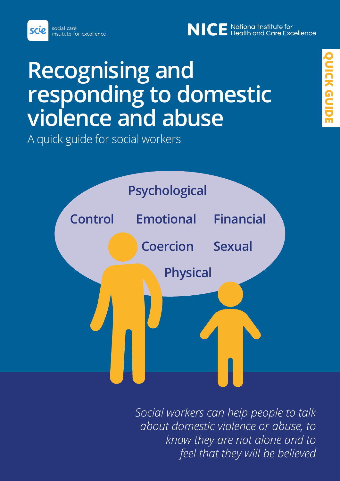scie

# NICE National Institute for<br>NICE Health and Care Excellence

# **Recognising and responding to domestic violence and abuse**

A quick guide for social workers



*Social workers can help people to talk about domestic violence or abuse, to know they are not alone and to feel that they will be believed*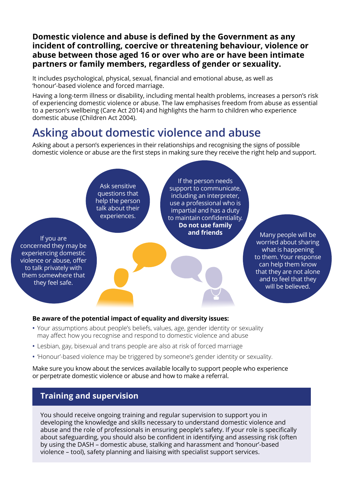#### **Domestic violence and abuse is defined by the Government as any incident of controlling, coercive or threatening behaviour, violence or abuse between those aged 16 or over who are or have been intimate partners or family members, regardless of gender or sexuality.**

It includes psychological, physical, sexual, financial and emotional abuse, as well as 'honour'-based violence and forced marriage.

Having a long-term illness or disability, including mental health problems, increases a person's risk of experiencing domestic violence or abuse. The law emphasises freedom from abuse as essential to a person's wellbeing (Care Act 2014) and highlights the harm to children who experience domestic abuse (Children Act 2004).

### **Asking about domestic violence and abuse**

Asking about a person's experiences in their relationships and recognising the signs of possible domestic violence or abuse are the first steps in making sure they receive the right help and support.

If you are concerned they may be experiencing domestic violence or abuse, offer to talk privately with them somewhere that they feel safe. If the person needs support to communicate, including an interpreter, use a professional who is impartial and has a duty to maintain confidentiality. **Do not use family and friends** Many people will be Ask sensitive questions that help the person talk about their experiences.

worried about sharing what is happening to them. Your response can help them know that they are not alone and to feel that they will be believed.

#### **Be aware of the potential impact of equality and diversity issues:**

- **•** Your assumptions about people's beliefs, values, age, gender identity or sexuality may affect how you recognise and respond to domestic violence and abuse
- **•** Lesbian, gay, bisexual and trans people are also at risk of forced marriage
- **•** 'Honour'-based violence may be triggered by someone's gender identity or sexuality.

Make sure you know about the services available locally to support people who experience or perpetrate domestic violence or abuse and how to make a referral.

### **Training and supervision**

You should receive ongoing training and regular supervision to support you in developing the knowledge and skills necessary to understand domestic violence and abuse and the role of professionals in ensuring people's safety. If your role is specifically about safeguarding, you should also be confident in identifying and assessing risk (often by using the DASH – domestic abuse, stalking and harassment and 'honour'-based violence – tool), safety planning and liaising with specialist support services.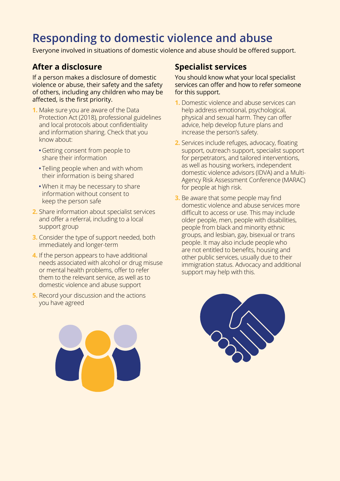### **Responding to domestic violence and abuse**

Everyone involved in situations of domestic violence and abuse should be offered support.

### **After a disclosure**

If a person makes a disclosure of domestic violence or abuse, their safety and the safety of others, including any children who may be affected, is the first priority.

- **1.** Make sure you are aware of the Data Protection Act (2018), professional guidelines and local protocols about confidentiality and information sharing. Check that you know about:
	- **•**Getting consent from people to share their information
	- **•** Telling people when and with whom their information is being shared
	- **•**When it may be necessary to share information without consent to keep the person safe
- **2.** Share information about specialist services and offer a referral, including to a local support group
- **3.** Consider the type of support needed, both immediately and longer-term
- **4.** If the person appears to have additional needs associated with alcohol or drug misuse or mental health problems, offer to refer them to the relevant service, as well as to domestic violence and abuse support
- **5.** Record your discussion and the actions you have agreed

### **Specialist services**

You should know what your local specialist services can offer and how to refer someone for this support.

- **1.** Domestic violence and abuse services can help address emotional, psychological, physical and sexual harm. They can offer advice, help develop future plans and increase the person's safety.
- **2.** Services include refuges, advocacy, floating support, outreach support, specialist support for perpetrators, and tailored interventions, as well as housing workers, independent domestic violence advisors (IDVA) and a Multi-Agency Risk Assessment Conference (MARAC) for people at high risk.
- **3.** Be aware that some people may find domestic violence and abuse services more difficult to access or use. This may include older people, men, people with disabilities, people from black and minority ethnic groups, and lesbian, gay, bisexual or trans people. It may also include people who are not entitled to benefits, housing and other public services, usually due to their immigration status. Advocacy and additional support may help with this.